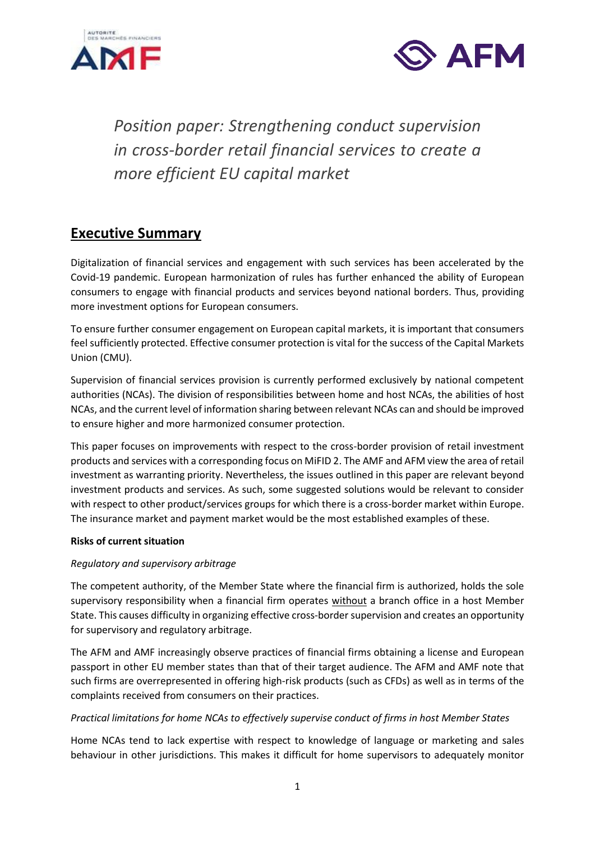



*Position paper: Strengthening conduct supervision in cross-border retail financial services to create a more efficient EU capital market*

## **Executive Summary**

Digitalization of financial services and engagement with such services has been accelerated by the Covid-19 pandemic. European harmonization of rules has further enhanced the ability of European consumers to engage with financial products and services beyond national borders. Thus, providing more investment options for European consumers.

To ensure further consumer engagement on European capital markets, it is important that consumers feel sufficiently protected. Effective consumer protection is vital for the success of the Capital Markets Union (CMU).

Supervision of financial services provision is currently performed exclusively by national competent authorities (NCAs). The division of responsibilities between home and host NCAs, the abilities of host NCAs, and the current level of information sharing between relevant NCAs can and should be improved to ensure higher and more harmonized consumer protection.

This paper focuses on improvements with respect to the cross-border provision of retail investment products and services with a corresponding focus on MiFID 2. The AMF and AFM view the area of retail investment as warranting priority. Nevertheless, the issues outlined in this paper are relevant beyond investment products and services. As such, some suggested solutions would be relevant to consider with respect to other product/services groups for which there is a cross-border market within Europe. The insurance market and payment market would be the most established examples of these.

#### **Risks of current situation**

#### *Regulatory and supervisory arbitrage*

The competent authority, of the Member State where the financial firm is authorized, holds the sole supervisory responsibility when a financial firm operates without a branch office in a host Member State. This causes difficulty in organizing effective cross-border supervision and creates an opportunity for supervisory and regulatory arbitrage.

The AFM and AMF increasingly observe practices of financial firms obtaining a license and European passport in other EU member states than that of their target audience. The AFM and AMF note that such firms are overrepresented in offering high-risk products (such as CFDs) as well as in terms of the complaints received from consumers on their practices.

#### *Practical limitations for home NCAs to effectively supervise conduct of firms in host Member States*

Home NCAs tend to lack expertise with respect to knowledge of language or marketing and sales behaviour in other jurisdictions. This makes it difficult for home supervisors to adequately monitor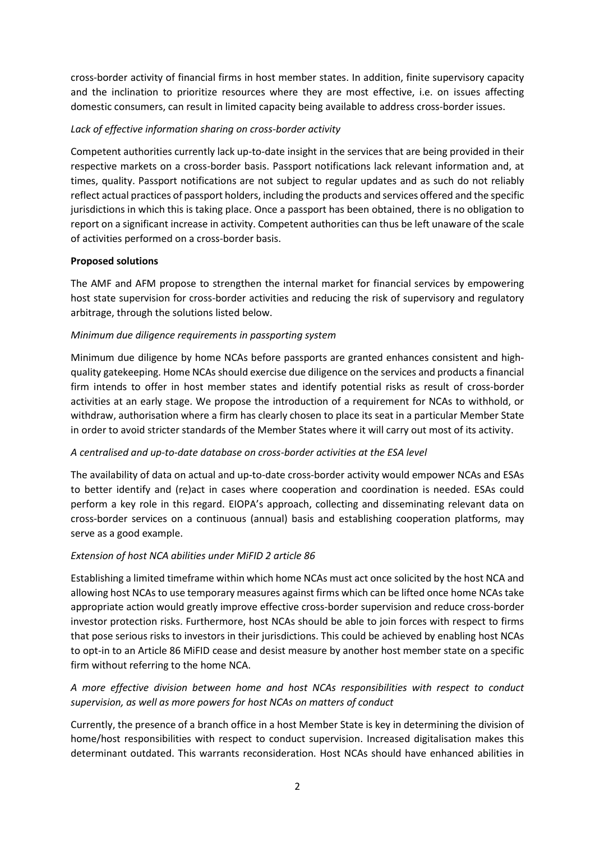cross-border activity of financial firms in host member states. In addition, finite supervisory capacity and the inclination to prioritize resources where they are most effective, i.e. on issues affecting domestic consumers, can result in limited capacity being available to address cross-border issues.

#### *Lack of effective information sharing on cross-border activity*

Competent authorities currently lack up-to-date insight in the services that are being provided in their respective markets on a cross-border basis. Passport notifications lack relevant information and, at times, quality. Passport notifications are not subject to regular updates and as such do not reliably reflect actual practices of passport holders, including the products and services offered and the specific jurisdictions in which this is taking place. Once a passport has been obtained, there is no obligation to report on a significant increase in activity. Competent authorities can thus be left unaware of the scale of activities performed on a cross-border basis.

#### **Proposed solutions**

The AMF and AFM propose to strengthen the internal market for financial services by empowering host state supervision for cross-border activities and reducing the risk of supervisory and regulatory arbitrage, through the solutions listed below.

#### *Minimum due diligence requirements in passporting system*

Minimum due diligence by home NCAs before passports are granted enhances consistent and highquality gatekeeping. Home NCAs should exercise due diligence on the services and products a financial firm intends to offer in host member states and identify potential risks as result of cross-border activities at an early stage. We propose the introduction of a requirement for NCAs to withhold, or withdraw, authorisation where a firm has clearly chosen to place its seat in a particular Member State in order to avoid stricter standards of the Member States where it will carry out most of its activity.

#### *A centralised and up-to-date database on cross-border activities at the ESA level*

The availability of data on actual and up-to-date cross-border activity would empower NCAs and ESAs to better identify and (re)act in cases where cooperation and coordination is needed. ESAs could perform a key role in this regard. EIOPA's approach, collecting and disseminating relevant data on cross-border services on a continuous (annual) basis and establishing cooperation platforms, may serve as a good example.

#### *Extension of host NCA abilities under MiFID 2 article 86*

Establishing a limited timeframe within which home NCAs must act once solicited by the host NCA and allowing host NCAs to use temporary measures against firms which can be lifted once home NCAs take appropriate action would greatly improve effective cross-border supervision and reduce cross-border investor protection risks. Furthermore, host NCAs should be able to join forces with respect to firms that pose serious risks to investors in their jurisdictions. This could be achieved by enabling host NCAs to opt-in to an Article 86 MiFID cease and desist measure by another host member state on a specific firm without referring to the home NCA.

#### *A more effective division between home and host NCAs responsibilities with respect to conduct supervision, as well as more powers for host NCAs on matters of conduct*

Currently, the presence of a branch office in a host Member State is key in determining the division of home/host responsibilities with respect to conduct supervision. Increased digitalisation makes this determinant outdated. This warrants reconsideration. Host NCAs should have enhanced abilities in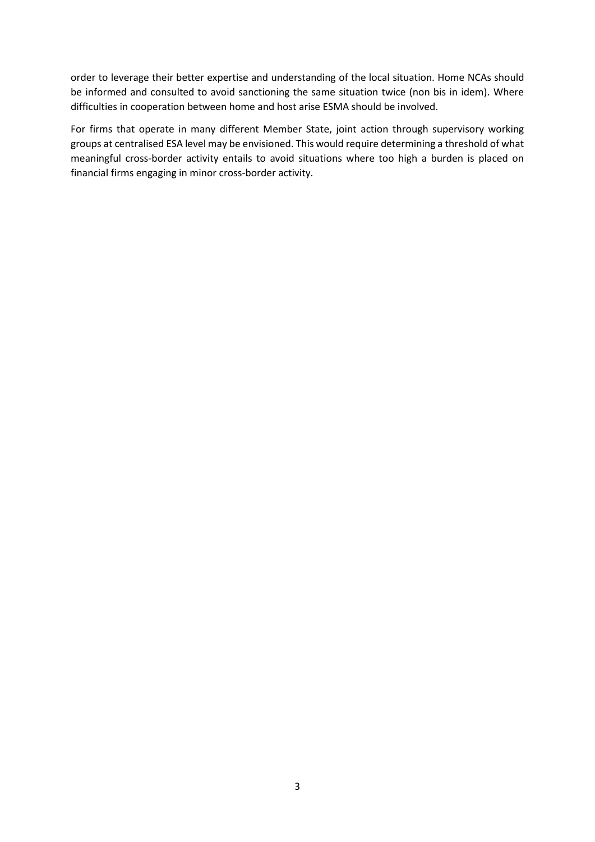order to leverage their better expertise and understanding of the local situation. Home NCAs should be informed and consulted to avoid sanctioning the same situation twice (non bis in idem). Where difficulties in cooperation between home and host arise ESMA should be involved.

For firms that operate in many different Member State, joint action through supervisory working groups at centralised ESA level may be envisioned. This would require determining a threshold of what meaningful cross-border activity entails to avoid situations where too high a burden is placed on financial firms engaging in minor cross-border activity.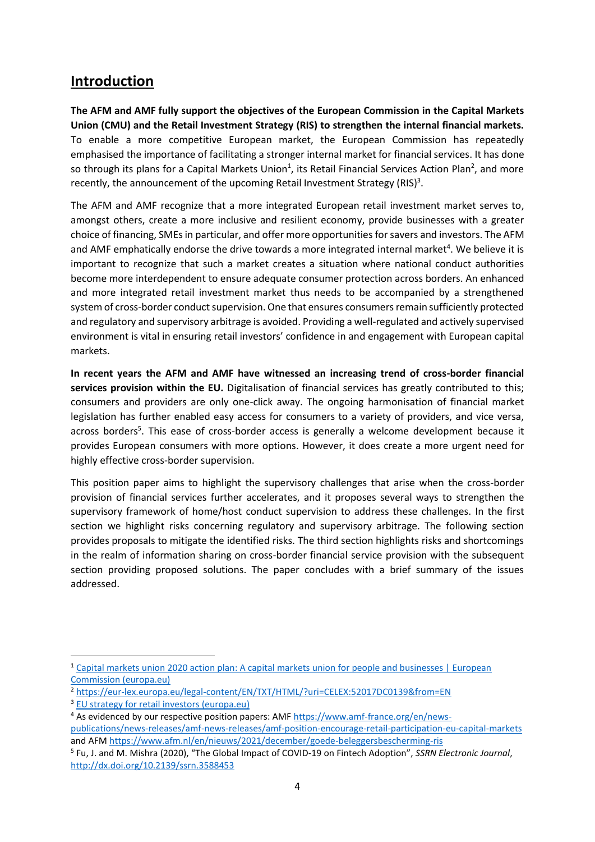## **Introduction**

**The AFM and AMF fully support the objectives of the European Commission in the Capital Markets Union (CMU) and the Retail Investment Strategy (RIS) to strengthen the internal financial markets.**  To enable a more competitive European market, the European Commission has repeatedly emphasised the importance of facilitating a stronger internal market for financial services. It has done so through its plans for a Capital Markets Union<sup>1</sup>, its Retail Financial Services Action Plan<sup>2</sup>, and more recently, the announcement of the upcoming Retail Investment Strategy (RIS)<sup>3</sup>.

The AFM and AMF recognize that a more integrated European retail investment market serves to, amongst others, create a more inclusive and resilient economy, provide businesses with a greater choice of financing, SMEs in particular, and offer more opportunities for savers and investors. The AFM and AMF emphatically endorse the drive towards a more integrated internal market<sup>4</sup>. We believe it is important to recognize that such a market creates a situation where national conduct authorities become more interdependent to ensure adequate consumer protection across borders. An enhanced and more integrated retail investment market thus needs to be accompanied by a strengthened system of cross-border conduct supervision. One that ensures consumers remain sufficiently protected and regulatory and supervisory arbitrage is avoided. Providing a well-regulated and actively supervised environment is vital in ensuring retail investors' confidence in and engagement with European capital markets.

**In recent years the AFM and AMF have witnessed an increasing trend of cross-border financial services provision within the EU.** Digitalisation of financial services has greatly contributed to this; consumers and providers are only one-click away. The ongoing harmonisation of financial market legislation has further enabled easy access for consumers to a variety of providers, and vice versa, across borders<sup>5</sup>. This ease of cross-border access is generally a welcome development because it provides European consumers with more options. However, it does create a more urgent need for highly effective cross-border supervision.

This position paper aims to highlight the supervisory challenges that arise when the cross-border provision of financial services further accelerates, and it proposes several ways to strengthen the supervisory framework of home/host conduct supervision to address these challenges. In the first section we highlight risks concerning regulatory and supervisory arbitrage. The following section provides proposals to mitigate the identified risks. The third section highlights risks and shortcomings in the realm of information sharing on cross-border financial service provision with the subsequent section providing proposed solutions. The paper concludes with a brief summary of the issues addressed.

<sup>1</sup> [Capital markets union 2020 action plan: A capital markets union for people and businesses | European](https://ec.europa.eu/info/business-economy-euro/growth-and-investment/capital-markets-union/capital-markets-union-2020-action-plan_en)  [Commission \(europa.eu\)](https://ec.europa.eu/info/business-economy-euro/growth-and-investment/capital-markets-union/capital-markets-union-2020-action-plan_en)

<sup>2</sup> <https://eur-lex.europa.eu/legal-content/EN/TXT/HTML/?uri=CELEX:52017DC0139&from=EN>

<sup>&</sup>lt;sup>3</sup> [EU strategy for retail investors \(europa.eu\)](https://ec.europa.eu/info/law/better-regulation/have-your-say/initiatives/12755-Retail-Investment-Strategy_en)

<sup>4</sup> As evidenced by our respective position papers: AMF [https://www.amf-france.org/en/news](https://www.amf-france.org/en/news-publications/news-releases/amf-news-releases/amf-position-encourage-retail-participation-eu-capital-markets)[publications/news-releases/amf-news-releases/amf-position-encourage-retail-participation-eu-capital-markets](https://www.amf-france.org/en/news-publications/news-releases/amf-news-releases/amf-position-encourage-retail-participation-eu-capital-markets)  and AF[M https://www.afm.nl/en/nieuws/2021/december/goede-beleggersbescherming-ris](https://www.afm.nl/en/nieuws/2021/december/goede-beleggersbescherming-ris)

<sup>5</sup> Fu, J. and M. Mishra (2020), "The Global Impact of COVID-19 on Fintech Adoption", *SSRN Electronic Journal*, <http://dx.doi.org/10.2139/ssrn.3588453>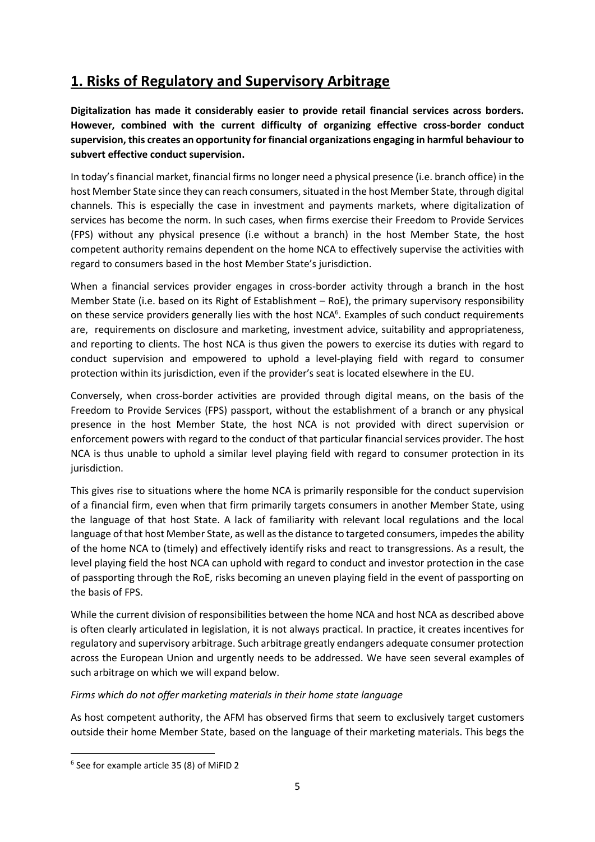# **1. Risks of Regulatory and Supervisory Arbitrage**

**Digitalization has made it considerably easier to provide retail financial services across borders. However, combined with the current difficulty of organizing effective cross-border conduct supervision, this creates an opportunity for financial organizations engaging in harmful behaviour to subvert effective conduct supervision.**

In today's financial market, financial firms no longer need a physical presence (i.e. branch office) in the host Member State since they can reach consumers, situated in the host Member State, through digital channels. This is especially the case in investment and payments markets, where digitalization of services has become the norm. In such cases, when firms exercise their Freedom to Provide Services (FPS) without any physical presence (i.e without a branch) in the host Member State, the host competent authority remains dependent on the home NCA to effectively supervise the activities with regard to consumers based in the host Member State's jurisdiction.

When a financial services provider engages in cross-border activity through a branch in the host Member State (i.e. based on its Right of Establishment – RoE), the primary supervisory responsibility on these service providers generally lies with the host NCA<sup>6</sup>. Examples of such conduct requirements are, requirements on disclosure and marketing, investment advice, suitability and appropriateness, and reporting to clients. The host NCA is thus given the powers to exercise its duties with regard to conduct supervision and empowered to uphold a level-playing field with regard to consumer protection within its jurisdiction, even if the provider's seat is located elsewhere in the EU.

Conversely, when cross-border activities are provided through digital means, on the basis of the Freedom to Provide Services (FPS) passport, without the establishment of a branch or any physical presence in the host Member State, the host NCA is not provided with direct supervision or enforcement powers with regard to the conduct of that particular financial services provider. The host NCA is thus unable to uphold a similar level playing field with regard to consumer protection in its jurisdiction.

This gives rise to situations where the home NCA is primarily responsible for the conduct supervision of a financial firm, even when that firm primarily targets consumers in another Member State, using the language of that host State. A lack of familiarity with relevant local regulations and the local language of that host Member State, as well as the distance to targeted consumers, impedes the ability of the home NCA to (timely) and effectively identify risks and react to transgressions. As a result, the level playing field the host NCA can uphold with regard to conduct and investor protection in the case of passporting through the RoE, risks becoming an uneven playing field in the event of passporting on the basis of FPS.

While the current division of responsibilities between the home NCA and host NCA as described above is often clearly articulated in legislation, it is not always practical. In practice, it creates incentives for regulatory and supervisory arbitrage. Such arbitrage greatly endangers adequate consumer protection across the European Union and urgently needs to be addressed. We have seen several examples of such arbitrage on which we will expand below.

#### *Firms which do not offer marketing materials in their home state language*

As host competent authority, the AFM has observed firms that seem to exclusively target customers outside their home Member State, based on the language of their marketing materials. This begs the

<sup>6</sup> See for example article 35 (8) of MiFID 2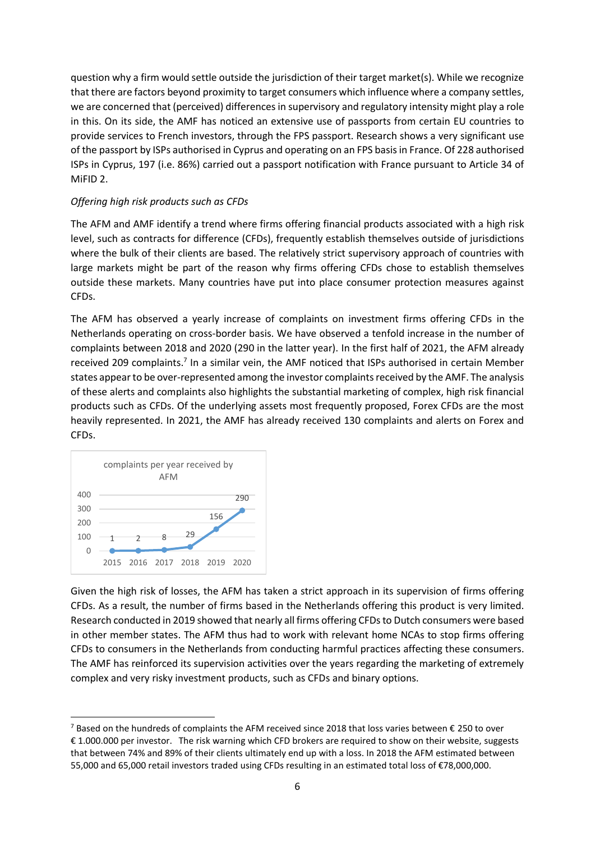question why a firm would settle outside the jurisdiction of their target market(s). While we recognize that there are factors beyond proximity to target consumers which influence where a company settles, we are concerned that (perceived) differences in supervisory and regulatory intensity might play a role in this. On its side, the AMF has noticed an extensive use of passports from certain EU countries to provide services to French investors, through the FPS passport. Research shows a very significant use of the passport by ISPs authorised in Cyprus and operating on an FPS basis in France. Of 228 authorised ISPs in Cyprus, 197 (i.e. 86%) carried out a passport notification with France pursuant to Article 34 of MiFID 2.

#### *Offering high risk products such as CFDs*

The AFM and AMF identify a trend where firms offering financial products associated with a high risk level, such as contracts for difference (CFDs), frequently establish themselves outside of jurisdictions where the bulk of their clients are based. The relatively strict supervisory approach of countries with large markets might be part of the reason why firms offering CFDs chose to establish themselves outside these markets. Many countries have put into place consumer protection measures against CFDs.

The AFM has observed a yearly increase of complaints on investment firms offering CFDs in the Netherlands operating on cross-border basis. We have observed a tenfold increase in the number of complaints between 2018 and 2020 (290 in the latter year). In the first half of 2021, the AFM already received 209 complaints.<sup>7</sup> In a similar vein, the AMF noticed that ISPs authorised in certain Member states appear to be over-represented among the investor complaints received by the AMF. The analysis of these alerts and complaints also highlights the substantial marketing of complex, high risk financial products such as CFDs. Of the underlying assets most frequently proposed, Forex CFDs are the most heavily represented. In 2021, the AMF has already received 130 complaints and alerts on Forex and CFDs.



Given the high risk of losses, the AFM has taken a strict approach in its supervision of firms offering CFDs. As a result, the number of firms based in the Netherlands offering this product is very limited. Research conducted in 2019 showed that nearly all firms offering CFDs to Dutch consumers were based in other member states. The AFM thus had to work with relevant home NCAs to stop firms offering CFDs to consumers in the Netherlands from conducting harmful practices affecting these consumers. The AMF has reinforced its supervision activities over the years regarding the marketing of extremely complex and very risky investment products, such as CFDs and binary options.

<sup>&</sup>lt;sup>7</sup> Based on the hundreds of complaints the AFM received since 2018 that loss varies between  $\epsilon$  250 to over € 1.000.000 per investor. The risk warning which CFD brokers are required to show on their website, suggests that between 74% and 89% of their clients ultimately end up with a loss. In 2018 the AFM estimated between 55,000 and 65,000 retail investors traded using CFDs resulting in an estimated total loss of €78,000,000.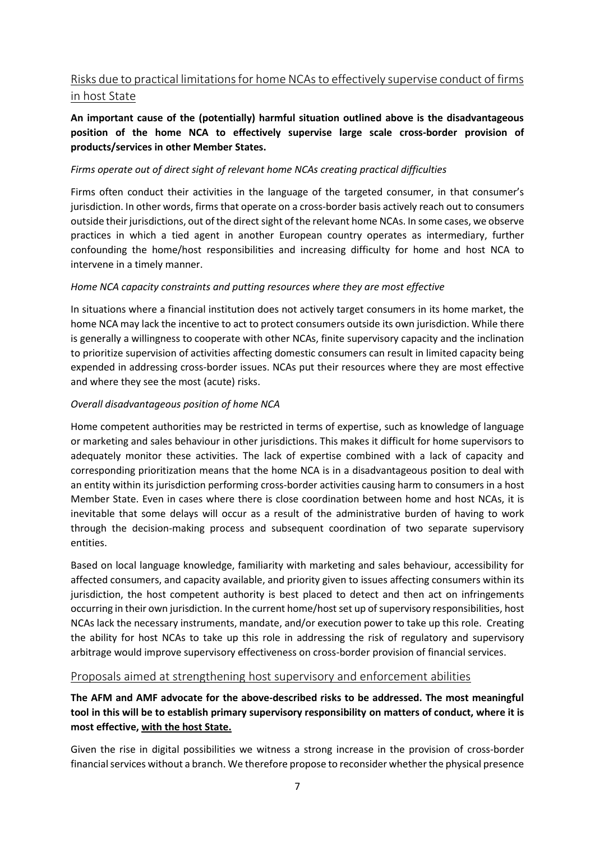### Risks due to practical limitations for home NCAs to effectively supervise conduct of firms in host State

#### **An important cause of the (potentially) harmful situation outlined above is the disadvantageous position of the home NCA to effectively supervise large scale cross-border provision of products/services in other Member States.**

#### *Firms operate out of direct sight of relevant home NCAs creating practical difficulties*

Firms often conduct their activities in the language of the targeted consumer, in that consumer's jurisdiction. In other words, firms that operate on a cross-border basis actively reach out to consumers outside their jurisdictions, out of the direct sight of the relevant home NCAs. In some cases, we observe practices in which a tied agent in another European country operates as intermediary, further confounding the home/host responsibilities and increasing difficulty for home and host NCA to intervene in a timely manner.

#### *Home NCA capacity constraints and putting resources where they are most effective*

In situations where a financial institution does not actively target consumers in its home market, the home NCA may lack the incentive to act to protect consumers outside its own jurisdiction. While there is generally a willingness to cooperate with other NCAs, finite supervisory capacity and the inclination to prioritize supervision of activities affecting domestic consumers can result in limited capacity being expended in addressing cross-border issues. NCAs put their resources where they are most effective and where they see the most (acute) risks.

#### *Overall disadvantageous position of home NCA*

Home competent authorities may be restricted in terms of expertise, such as knowledge of language or marketing and sales behaviour in other jurisdictions. This makes it difficult for home supervisors to adequately monitor these activities. The lack of expertise combined with a lack of capacity and corresponding prioritization means that the home NCA is in a disadvantageous position to deal with an entity within its jurisdiction performing cross-border activities causing harm to consumers in a host Member State. Even in cases where there is close coordination between home and host NCAs, it is inevitable that some delays will occur as a result of the administrative burden of having to work through the decision-making process and subsequent coordination of two separate supervisory entities.

Based on local language knowledge, familiarity with marketing and sales behaviour, accessibility for affected consumers, and capacity available, and priority given to issues affecting consumers within its jurisdiction, the host competent authority is best placed to detect and then act on infringements occurring in their own jurisdiction. In the current home/host set up of supervisory responsibilities, host NCAs lack the necessary instruments, mandate, and/or execution power to take up this role. Creating the ability for host NCAs to take up this role in addressing the risk of regulatory and supervisory arbitrage would improve supervisory effectiveness on cross-border provision of financial services.

#### Proposals aimed at strengthening host supervisory and enforcement abilities

#### **The AFM and AMF advocate for the above-described risks to be addressed. The most meaningful tool in this will be to establish primary supervisory responsibility on matters of conduct, where it is most effective, with the host State.**

Given the rise in digital possibilities we witness a strong increase in the provision of cross-border financial services without a branch. We therefore propose to reconsider whether the physical presence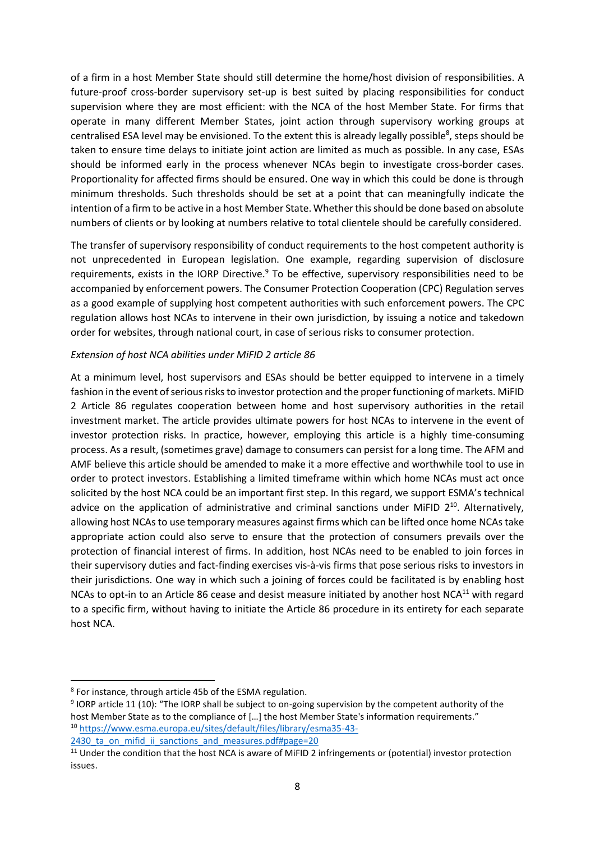of a firm in a host Member State should still determine the home/host division of responsibilities. A future-proof cross-border supervisory set-up is best suited by placing responsibilities for conduct supervision where they are most efficient: with the NCA of the host Member State. For firms that operate in many different Member States, joint action through supervisory working groups at centralised ESA level may be envisioned. To the extent this is already legally possible<sup>8</sup>, steps should be taken to ensure time delays to initiate joint action are limited as much as possible. In any case, ESAs should be informed early in the process whenever NCAs begin to investigate cross-border cases. Proportionality for affected firms should be ensured. One way in which this could be done is through minimum thresholds. Such thresholds should be set at a point that can meaningfully indicate the intention of a firm to be active in a host Member State. Whether this should be done based on absolute numbers of clients or by looking at numbers relative to total clientele should be carefully considered.

The transfer of supervisory responsibility of conduct requirements to the host competent authority is not unprecedented in European legislation. One example, regarding supervision of disclosure requirements, exists in the IORP Directive. $9$  To be effective, supervisory responsibilities need to be accompanied by enforcement powers. The Consumer Protection Cooperation (CPC) Regulation serves as a good example of supplying host competent authorities with such enforcement powers. The CPC regulation allows host NCAs to intervene in their own jurisdiction, by issuing a notice and takedown order for websites, through national court, in case of serious risks to consumer protection.

#### *Extension of host NCA abilities under MiFID 2 article 86*

At a minimum level, host supervisors and ESAs should be better equipped to intervene in a timely fashion in the event of serious risks to investor protection and the proper functioning of markets. MiFID 2 Article 86 regulates cooperation between home and host supervisory authorities in the retail investment market. The article provides ultimate powers for host NCAs to intervene in the event of investor protection risks. In practice, however, employing this article is a highly time-consuming process. As a result, (sometimes grave) damage to consumers can persist for a long time. The AFM and AMF believe this article should be amended to make it a more effective and worthwhile tool to use in order to protect investors. Establishing a limited timeframe within which home NCAs must act once solicited by the host NCA could be an important first step. In this regard, we support ESMA's technical advice on the application of administrative and criminal sanctions under MiFID 2<sup>10</sup>. Alternatively, allowing host NCAs to use temporary measures against firms which can be lifted once home NCAs take appropriate action could also serve to ensure that the protection of consumers prevails over the protection of financial interest of firms. In addition, host NCAs need to be enabled to join forces in their supervisory duties and fact-finding exercises vis-à-vis firms that pose serious risks to investors in their jurisdictions. One way in which such a joining of forces could be facilitated is by enabling host NCAs to opt-in to an Article 86 cease and desist measure initiated by another host NCA<sup>11</sup> with regard to a specific firm, without having to initiate the Article 86 procedure in its entirety for each separate host NCA.

<sup>&</sup>lt;sup>8</sup> For instance, through article 45b of the ESMA regulation.

<sup>&</sup>lt;sup>9</sup> IORP article 11 (10): "The IORP shall be subject to on-going supervision by the competent authority of the host Member State as to the compliance of […] the host Member State's information requirements." <sup>10</sup> [https://www.esma.europa.eu/sites/default/files/library/esma35-43-](https://www.esma.europa.eu/sites/default/files/library/esma35-43-2430_ta_on_mifid_ii_sanctions_and_measures.pdf#page=20)

<sup>2430</sup> ta on mifid ii sanctions and measures.pdf#page=20

<sup>&</sup>lt;sup>11</sup> Under the condition that the host NCA is aware of MiFID 2 infringements or (potential) investor protection issues.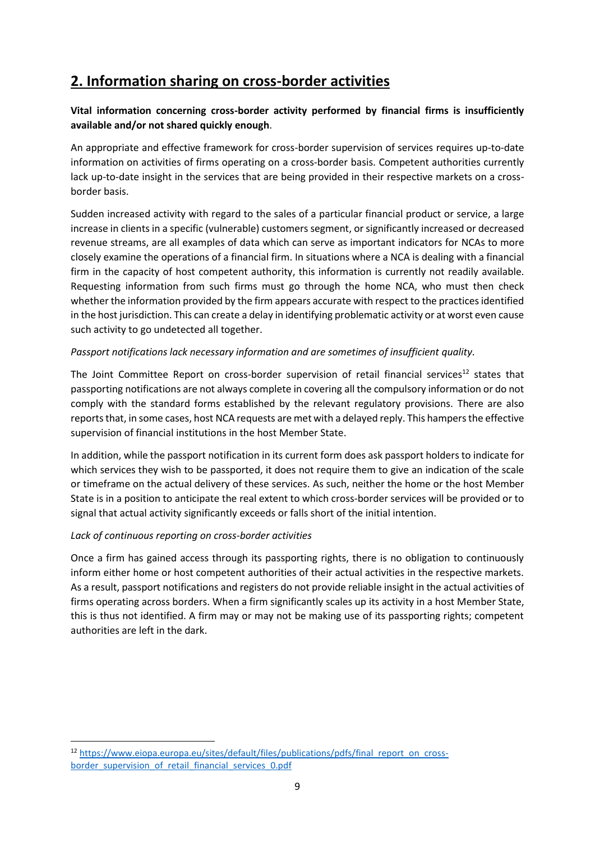# **2. Information sharing on cross-border activities**

#### **Vital information concerning cross-border activity performed by financial firms is insufficiently available and/or not shared quickly enough**.

An appropriate and effective framework for cross-border supervision of services requires up-to-date information on activities of firms operating on a cross-border basis. Competent authorities currently lack up-to-date insight in the services that are being provided in their respective markets on a crossborder basis.

Sudden increased activity with regard to the sales of a particular financial product or service, a large increase in clients in a specific (vulnerable) customers segment, or significantly increased or decreased revenue streams, are all examples of data which can serve as important indicators for NCAs to more closely examine the operations of a financial firm. In situations where a NCA is dealing with a financial firm in the capacity of host competent authority, this information is currently not readily available. Requesting information from such firms must go through the home NCA, who must then check whether the information provided by the firm appears accurate with respect to the practices identified in the host jurisdiction. This can create a delay in identifying problematic activity or at worst even cause such activity to go undetected all together.

#### *Passport notifications lack necessary information and are sometimes of insufficient quality.*

The Joint Committee Report on cross-border supervision of retail financial services<sup>12</sup> states that passporting notifications are not always complete in covering all the compulsory information or do not comply with the standard forms established by the relevant regulatory provisions. There are also reports that, in some cases, host NCA requests are met with a delayed reply. This hampers the effective supervision of financial institutions in the host Member State.

In addition, while the passport notification in its current form does ask passport holders to indicate for which services they wish to be passported, it does not require them to give an indication of the scale or timeframe on the actual delivery of these services. As such, neither the home or the host Member State is in a position to anticipate the real extent to which cross-border services will be provided or to signal that actual activity significantly exceeds or falls short of the initial intention.

#### *Lack of continuous reporting on cross-border activities*

Once a firm has gained access through its passporting rights, there is no obligation to continuously inform either home or host competent authorities of their actual activities in the respective markets. As a result, passport notifications and registers do not provide reliable insight in the actual activities of firms operating across borders. When a firm significantly scales up its activity in a host Member State, this is thus not identified. A firm may or may not be making use of its passporting rights; competent authorities are left in the dark.

<sup>12</sup> [https://www.eiopa.europa.eu/sites/default/files/publications/pdfs/final\\_report\\_on\\_cross](https://www.eiopa.europa.eu/sites/default/files/publications/pdfs/final_report_on_cross-border_supervision_of_retail_financial_services_0.pdf)[border\\_supervision\\_of\\_retail\\_financial\\_services\\_0.pdf](https://www.eiopa.europa.eu/sites/default/files/publications/pdfs/final_report_on_cross-border_supervision_of_retail_financial_services_0.pdf)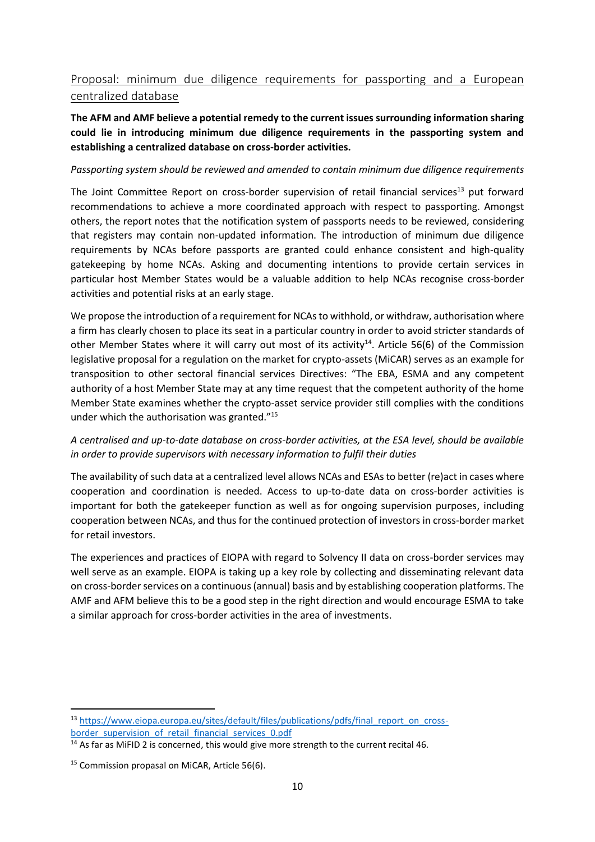### Proposal: minimum due diligence requirements for passporting and a European centralized database

#### **The AFM and AMF believe a potential remedy to the current issues surrounding information sharing could lie in introducing minimum due diligence requirements in the passporting system and establishing a centralized database on cross-border activities.**

#### *Passporting system should be reviewed and amended to contain minimum due diligence requirements*

The Joint Committee Report on cross-border supervision of retail financial services<sup>13</sup> put forward recommendations to achieve a more coordinated approach with respect to passporting. Amongst others, the report notes that the notification system of passports needs to be reviewed, considering that registers may contain non-updated information. The introduction of minimum due diligence requirements by NCAs before passports are granted could enhance consistent and high-quality gatekeeping by home NCAs. Asking and documenting intentions to provide certain services in particular host Member States would be a valuable addition to help NCAs recognise cross-border activities and potential risks at an early stage.

We propose the introduction of a requirement for NCAs to withhold, or withdraw, authorisation where a firm has clearly chosen to place its seat in a particular country in order to avoid stricter standards of other Member States where it will carry out most of its activity<sup>14</sup>. Article 56(6) of the Commission legislative proposal for a regulation on the market for crypto-assets (MiCAR) serves as an example for transposition to other sectoral financial services Directives: "The EBA, ESMA and any competent authority of a host Member State may at any time request that the competent authority of the home Member State examines whether the crypto-asset service provider still complies with the conditions under which the authorisation was granted."<sup>15</sup>

#### *A centralised and up-to-date database on cross-border activities, at the ESA level, should be available in order to provide supervisors with necessary information to fulfil their duties*

The availability of such data at a centralized level allows NCAs and ESAs to better (re)act in cases where cooperation and coordination is needed. Access to up-to-date data on cross-border activities is important for both the gatekeeper function as well as for ongoing supervision purposes, including cooperation between NCAs, and thus for the continued protection of investors in cross-border market for retail investors.

The experiences and practices of EIOPA with regard to Solvency II data on cross-border services may well serve as an example. EIOPA is taking up a key role by collecting and disseminating relevant data on cross-border services on a continuous (annual) basis and by establishing cooperation platforms. The AMF and AFM believe this to be a good step in the right direction and would encourage ESMA to take a similar approach for cross-border activities in the area of investments.

<sup>13</sup> [https://www.eiopa.europa.eu/sites/default/files/publications/pdfs/final\\_report\\_on\\_cross](https://www.eiopa.europa.eu/sites/default/files/publications/pdfs/final_report_on_cross-border_supervision_of_retail_financial_services_0.pdf)[border\\_supervision\\_of\\_retail\\_financial\\_services\\_0.pdf](https://www.eiopa.europa.eu/sites/default/files/publications/pdfs/final_report_on_cross-border_supervision_of_retail_financial_services_0.pdf)

<sup>&</sup>lt;sup>14</sup> As far as MiFID 2 is concerned, this would give more strength to the current recital 46.

<sup>&</sup>lt;sup>15</sup> Commission propasal on MiCAR, Article 56(6).